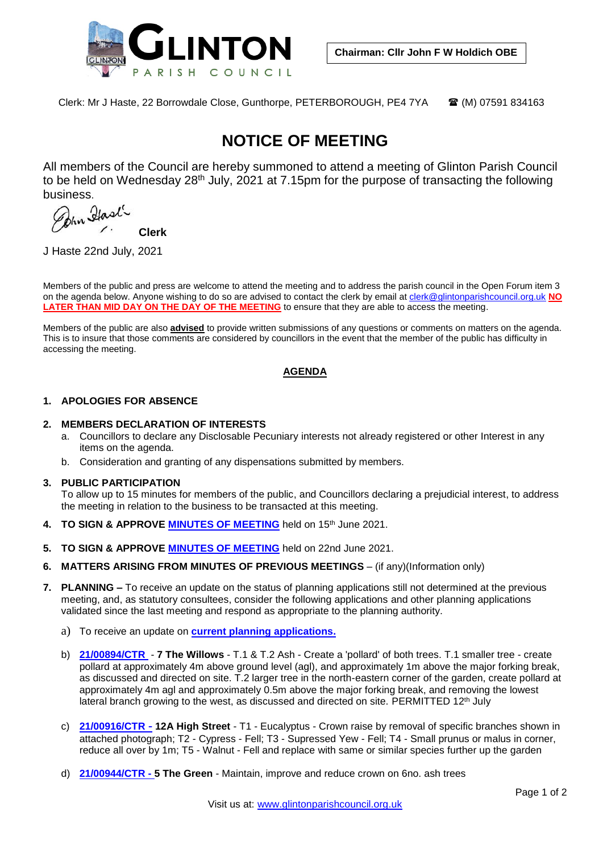

Clerk: Mr J Haste, 22 Borrowdale Close, Gunthorpe, PETERBOROUGH, PE4 7YA (M) 07591 834163

# **NOTICE OF MEETING**

All members of the Council are hereby summoned to attend a meeting of Glinton Parish Council to be held on Wednesday 28<sup>th</sup> July, 2021 at 7.15pm for the purpose of transacting the following

business.<br>*Pohn Hast* **Clerk**

J Haste 22nd July, 2021

Members of the public and press are welcome to attend the meeting and to address the parish council in the Open Forum item 3 on the agenda below. Anyone wishing to do so are advised to contact the clerk by email at [clerk@glintonparishcouncil.org.uk](mailto:clerk@glintonparishcouncil.org.uk) **NO**  LATER THAN MID DAY ON THE DAY OF THE MEETING to ensure that they are able to access the meeting.

Members of the public are also **advised** to provide written submissions of any questions or comments on matters on the agenda. This is to insure that those comments are considered by councillors in the event that the member of the public has difficulty in accessing the meeting.

# **AGENDA**

# **1. APOLOGIES FOR ABSENCE**

#### **2. MEMBERS DECLARATION OF INTERESTS**

- a. Councillors to declare any Disclosable Pecuniary interests not already registered or other Interest in any items on the agenda.
- b. Consideration and granting of any dispensations submitted by members.

#### **3. PUBLIC PARTICIPATION**

To allow up to 15 minutes for members of the public, and Councillors declaring a prejudicial interest, to address the meeting in relation to the business to be transacted at this meeting.

- **4. TO SIGN & APPROVE [MINUTES OF MEETING](https://glinton-pc.gov.uk/wp-content/uploads/2021/06/21-06-June-18th-2021.pdf)** held on 15th June 2021.
- **5. TO SIGN & APPROVE [MINUTES OF MEETING](https://glinton-pc.gov.uk/wp-content/uploads/2021/07/21-06-2-June-22nd-2021-PLANNING-ONLY.pdf)** held on 22nd June 2021.
- **6. MATTERS ARISING FROM MINUTES OF PREVIOUS MEETINGS** (if any)(Information only)
- **7. PLANNING –** To receive an update on the status of planning applications still not determined at the previous meeting, and, as statutory consultees, consider the following applications and other planning applications validated since the last meeting and respond as appropriate to the planning authority.
	- a) To receive an update on **[current planning applications.](https://glinton-pc.gov.uk/wp-content/uploads/2021/07/PLANNING-APPLICATIONS-LOG-13th-July-2021.pdf)**
	- b) **[21/00894/CTR](https://planpa.peterborough.gov.uk/online-applications/applicationDetails.do?activeTab=externalDocuments&keyVal=QUJBXTML04U00) 7 The Willows** T.1 & T.2 Ash Create a 'pollard' of both trees. T.1 smaller tree create pollard at approximately 4m above ground level (agl), and approximately 1m above the major forking break, as discussed and directed on site. T.2 larger tree in the north-eastern corner of the garden, create pollard at approximately 4m agl and approximately 0.5m above the major forking break, and removing the lowest lateral branch growing to the west, as discussed and directed on site. PERMITTED 12<sup>th</sup> July
	- c) **[21/00916/CTR](https://planpa.peterborough.gov.uk/online-applications/applicationDetails.do?activeTab=externalDocuments&keyVal=QUSH5WMLHWH00) - 12A High Street** T1 Eucalyptus Crown raise by removal of specific branches shown in attached photograph; T2 - Cypress - Fell; T3 - Supressed Yew - Fell; T4 - Small prunus or malus in corner, reduce all over by 1m; T5 - Walnut - Fell and replace with same or similar species further up the garden
	- d) **[21/00944/CTR](https://planpa.peterborough.gov.uk/online-applications/applicationDetails.do?activeTab=externalDocuments&keyVal=QV1TA6MLHYU00) - 5 The Green** Maintain, improve and reduce crown on 6no. ash trees